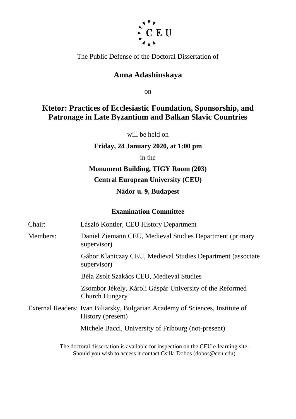

The Public Defense of the Doctoral Dissertation of

## **Anna Adashinskaya**

on

# **Ktetor: Practices of Ecclesiastic Foundation, Sponsorship, and Patronage in Late Byzantium and Balkan Slavic Countries**

will be held on

### **Friday, 24 January 2020, at 1:00 pm**

in the

## **Monument Building, TIGY Room (203)**

### **Central European University (CEU)**

## **Nádor u. 9, Budapest**

### **Examination Committee**

Chair: László Kontler, CEU History Department Members: Daniel Ziemann CEU, Medieval Studies Department (primary supervisor) Gábor Klaniczay CEU, Medieval Studies Department (associate supervisor) Béla Zsolt Szakács CEU, Medieval Studies Zsombor Jékely, Károli Gáspár University of the Reformed Church Hungary External Readers: Ivan Biliarsky, Bulgarian Academy of Sciences, Institute of History (present) Michele Bacci, University of Fribourg (not-present) The doctoral dissertation is available for inspection on the CEU e-learning site. Should you wish to access it contact Csilla Dobos (dobos@ceu.edu)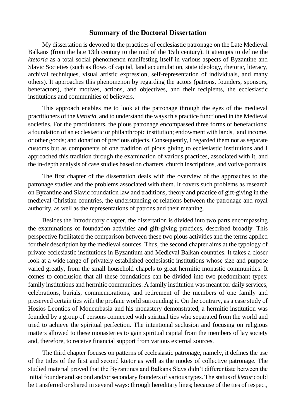#### **Summary of the Doctoral Dissertation**

My dissertation is devoted to the practices of ecclesiastic patronage on the Late Medieval Balkans (from the late 13th century to the mid of the 15th century). It attempts to define the *ktetoria* as a total social phenomenon manifesting itself in various aspects of Byzantine and Slavic Societies (such as flows of capital, land accumulation, state ideology, rhetoric, literacy, archival techniques, visual artistic expression, self-representation of individuals, and many others). It approaches this phenomenon by regarding the actors (patrons, founders, sponsors, benefactors), their motives, actions, and objectives, and their recipients, the ecclesiastic institutions and communities of believers.

This approach enables me to look at the patronage through the eyes of the medieval practitioners of the *ktetoria*, and to understand the ways this practice functioned in the Medieval societies. For the practitioners, the pious patronage encompassed three forms of benefactions: a foundation of an ecclesiastic or philanthropic institution; endowment with lands, land income, or other goods; and donation of precious objects. Consequently, I regarded them not as separate customs but as components of one tradition of pious giving to ecclesiastic institutions and I approached this tradition through the examination of various practices, associated with it, and the in-depth analysis of case studies based on charters, church inscriptions, and votive portraits.

The first chapter of the dissertation deals with the overview of the approaches to the patronage studies and the problems associated with them. It covers such problems as research on Byzantine and Slavic foundation law and traditions, theory and practice of gift-giving in the medieval Christian countries, the understanding of relations between the patronage and royal authority, as well as the representations of patrons and their meaning.

Besides the Introductory chapter, the dissertation is divided into two parts encompassing the examinations of foundation activities and gift-giving practices, described broadly. This perspective facilitated the comparison between these two pious activities and the terms applied for their description by the medieval sources. Thus, the second chapter aims at the typology of private ecclesiastic institutions in Byzantium and Medieval Balkan countries. It takes a closer look at a wide range of privately established ecclesiastic institutions whose size and purpose varied greatly, from the small household chapels to great hermitic monastic communities. It comes to conclusion that all these foundations can be divided into two predominant types: family institutions and hermitic communities. A family institution was meant for daily services, celebrations, burials, commemorations, and retirement of the members of one family and preserved certain ties with the profane world surrounding it. On the contrary, as a case study of Hosios Leontios of Monembasia and his monastery demonstrated, a hermitic institution was founded by a group of persons connected with spiritual ties who separated from the world and tried to achieve the spiritual perfection. The intentional seclusion and focusing on religious matters allowed to these monasteries to gain spiritual capital from the members of lay society and, therefore, to receive financial support from various external sources.

The third chapter focuses on patterns of ecclesiastic patronage, namely, it defines the use of the titles of the first and second ktetor as well as the modes of collective patronage. The studied material proved that the Byzantines and Balkans Slavs didn't differentiate between the initial founder and second and/or secondary founders of various types. The status of *ktetor* could be transferred or shared in several ways: through hereditary lines; because of the ties of respect,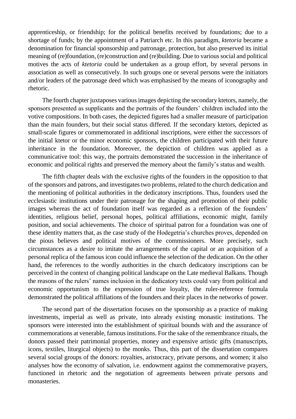apprenticeship, or friendship; for the political benefits received by foundations; due to a shortage of funds; by the appointment of a Patriarch etc. In this paradigm, *ktetoria* became a denomination for financial sponsorship and patronage, protection, but also preserved its initial meaning of (re)foundation, (re)construction and (re)building. Due to various social and political motives the acts of *ktetoria* could be undertaken as a group effort, by several persons in association as well as consecutively. In such groups one or several persons were the initiators and/or leaders of the patronage deed which was emphasised by the means of iconography and rhetoric.

The fourth chapter juxtaposes various images depicting the secondary ktetors, namely, the sponsors presented as supplicants and the portraits of the founders' children included into the votive compositions. In both cases, the depicted figures had a smaller measure of participation than the main founders, but their social status differed. If the secondary ktetors, depicted as small-scale figures or commemorated in additional inscriptions, were either the successors of the initial ktetor or the minor economic sponsors, the children participated with their future inheritance in the foundation. Moreover, the depiction of children was applied as a communicative tool: this way, the portraits demonstrated the succession in the inheritance of economic and political rights and preserved the memory about the family's status and wealth.

The fifth chapter deals with the exclusive rights of the founders in the opposition to that of the sponsors and patrons, and investigates two problems, related to the church dedication and the mentioning of political authorities in the dedicatory inscriptions. Thus, founders used the ecclesiastic institutions under their patronage for the shaping and promotion of their public images whereas the act of foundation itself was regarded as a reflexion of the founders' identities, religious belief, personal hopes, political affiliations, economic might, family position, and social achievements. The choice of spiritual patron for a foundation was one of these identity matters that, as the case study of the Hodegetria's churches proves, depended on the pious believes and political motives of the commissioners. More precisely, such circumstances as a desire to imitate the arrangements of the capital or an acquisition of a personal replica of the famous icon could influence the selection of the dedication. On the other hand, the references to the wordly authorities in the church dedicatory inscriptions can be perceived in the context of changing political landscape on the Late medieval Balkans. Though the reasons of the rulers' names inclusion in the dedicatory texts could vary from political and economic opportunism to the expression of true loyalty, the ruler-reference formula demonstrated the political affiliations of the founders and their places in the networks of power.

The second part of the dissertation focuses on the sponsorship as a practice of making investments, imperial as well as private, into already existing monastic institutions. The sponsors were interested into the establishment of spiritual bounds with and the assurance of commemorations at venerable, famous institutions. For the sake of the remembrance rituals, the donors passed their patrimonial properties, money and expensive artistic gifts (manuscripts, icons, textiles, liturgical objects) to the monks. Thus, this part of the dissertation compares several social groups of the donors: royalties, aristocracy, private persons, and women; it also analyses how the economy of salvation, i.e. endowment against the commemorative prayers, functioned in rhetoric and the negotiation of agreements between private persons and monasteries.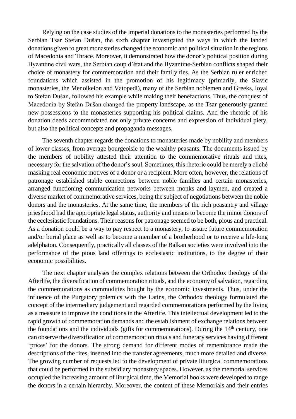Relying on the case studies of the imperial donations to the monasteries performed by the Serbian Tsar Stefan Dušan, the sixth chapter investigated the ways in which the landed donations given to great monasteries changed the economic and political situation in the regions of Macedonia and Thrace. Moreover, it demonstrated how the donor's political position during Byzantine civil wars, the Serbian coup d'état and the Byzantine-Serbian conflicts shaped their choice of monastery for commemoration and their family ties. As the Serbian ruler enriched foundations which assisted in the promotion of his legitimacy (primarily, the Slavic monasteries, the Menoikeion and Vatopedi), many of the Serbian noblemen and Greeks, loyal to Stefan Dušan, followed his example while making their benefactions. Thus, the conquest of Macedonia by Stefan Dušan changed the property landscape, as the Tsar generously granted new possessions to the monasteries supporting his political claims. And the rhetoric of his donation deeds accommodated not only private concerns and expression of individual piety, but also the political concepts and propaganda messages.

The seventh chapter regards the donations to monasteries made by nobility and members of lower classes, from average bourgeoisie to the wealthy peasants. The documents issued by the members of nobility attested their attention to the commemorative rituals and rites, necessary for the salvation of the donor's soul. Sometimes, this rhetoric could be merely a cliché masking real economic motives of a donor or a recipient. More often, however, the relations of patronage established stable connections between noble families and certain monasteries, arranged functioning communication networks between monks and laymen, and created a diverse market of commemorative services, being the subject of negotiations between the noble donors and the monasteries. At the same time, the members of the rich peasantry and village priesthood had the appropriate legal status, authority and means to become the minor donors of the ecclesiastic foundations. Their reasons for patronage seemed to be both, pious and practical. As a donation could be a way to pay respect to a monastery, to assure future commemoration and/or burial place as well as to become a member of a brotherhood or to receive a life-long adelphaton. Consequently, practically all classes of the Balkan societies were involved into the performance of the pious land offerings to ecclesiastic institutions, to the degree of their economic possibilities.

The next chapter analyses the complex relations between the Orthodox theology of the Afterlife, the diversification of commemoration rituals, and the economy of salvation, regarding the commemorations as commodities bought by the economic investments. Thus, under the influence of the Purgatory polemics with the Latins, the Orthodox theology formulated the concept of the intermediary judgement and regarded commemorations performed by the living as a measure to improve the conditions in the Afterlife. This intellectual development led to the rapid growth of commemoration demands and the establishment of exchange relations between the foundations and the individuals (gifts for commemorations). During the  $14<sup>th</sup>$  century, one can observe the diversification of commemoration rituals and funerary services having different 'prices' for the donors. The strong demand for different modes of remembrance made the descriptions of the rites, inserted into the transfer agreements, much more detailed and diverse. The growing number of requests led to the development of private liturgical commemorations that could be performed in the subsidiary monastery spaces. However, as the memorial services occupied the increasing amount of liturgical time, the Memorial books were developed to range the donors in a certain hierarchy. Moreover, the content of these Memorials and their entries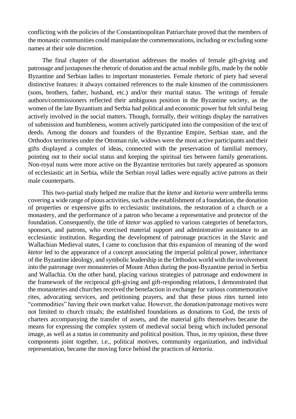conflicting with the policies of the Constantinopolitan Patriarchate proved that the members of the monastic communities could manipulate the commemorations, including or excluding some names at their sole discretion.

The final chapter of the dissertation addresses the modes of female gift-giving and patronage and juxtaposes the rhetoric of donation and the actual mobile gifts, made by the noble Byzantine and Serbian ladies to important monasteries. Female rhetoric of piety had several distinctive features: it always contained references to the male kinsmen of the commissioners (sons, brothers, father, husband, etc.) and/or their marital status. The writings of female authors/commissioners reflected their ambiguous position in the Byzantine society, as the women of the late Byzantium and Serbia had political and economic power but felt sinful being actively involved in the social matters. Though, formally, their writings display the narratives of submission and humbleness, women actively participated into the composition of the text of deeds. Among the donors and founders of the Byzantine Empire, Serbian state, and the Orthodox territories under the Ottoman rule, widows were the most active participants and their gifts displayed a complex of ideas, connected with the preservation of familial memory, pointing out to their social status and keeping the spiritual ties between family generations. Non-royal nuns were more active on the Byzantine territories but rarely appeared as sponsors of ecclesiastic art in Serbia, while the Serbian royal ladies were equally active patrons as their male counterparts.

This two-partial study helped me realize that the *ktetor* and *ktetoria* were umbrella terms covering a wide range of pious activities, such as the establishment of a foundation, the donation of properties or expensive gifts to ecclesiastic institutions, the restoration of a church or a monastery, and the performance of a patron who became a representative and protector of the foundation. Consequently, the title of *ktetor* was applied to various categories of benefactors, sponsors, and patrons, who exercised material support and administrative assistance to an ecclesiastic institution. Regarding the development of patronage practices in the Slavic and Wallachian Medieval states, I came to conclusion that this expansion of meaning of the word *ktetor* led to the appearance of a concept associating the imperial political power, inheritance of the Byzantine ideology, and symbolic leadership in the Orthodox world with the involvement into the patronage over monasteries of Mount Athos during the post-Byzantine period in Serbia and Wallachia. On the other hand, placing various strategies of patronage and endowment in the framework of the reciprocal gift-giving and gift-responding relations, I demonstrated that the monasteries and churches received the benefaction in exchange for various commemorative rites, advocating services, and petitioning prayers, and that these pious rites turned into "commodities" having their own market value. However, the donation/patronage motives were not limited to church rituals; the established foundations as donations to God, the texts of charters accompanying the transfer of assets, and the material gifts themselves became the means for expressing the complex system of medieval social being which included personal image, as well as a status in community and political position. Thus, in my opinion, these three components joint together, i.e., political motives, community organization, and individual representation, became the moving force behind the practices of *ktetoria*.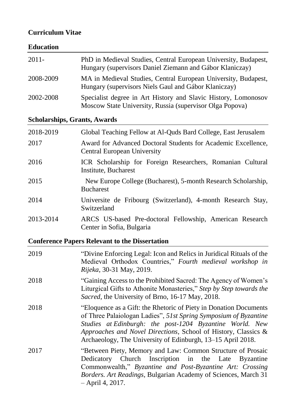## **Curriculum Vitae**

## **Education**

| $2011 -$  | PhD in Medieval Studies, Central European University, Budapest,<br>Hungary (supervisors Daniel Ziemann and Gábor Klaniczay) |
|-----------|-----------------------------------------------------------------------------------------------------------------------------|
| 2008-2009 | MA in Medieval Studies, Central European University, Budapest,<br>Hungary (supervisors Niels Gaul and Gábor Klaniczay)      |
| 2002-2008 | Specialist degree in Art History and Slavic History, Lomonosov<br>Moscow State University, Russia (supervisor Olga Popova)  |

# **Scholarships, Grants, Awards**

| 2018-2019 | Global Teaching Fellow at Al-Quds Bard College, East Jerusalem                               |
|-----------|----------------------------------------------------------------------------------------------|
| 2017      | Award for Advanced Doctoral Students for Academic Excellence,<br>Central European University |
| 2016      | ICR Scholarship for Foreign Researchers, Romanian Cultural<br>Institute, Bucharest           |
| 2015      | New Europe College (Bucharest), 5-month Research Scholarship,<br><b>Bucharest</b>            |
| 2014      | Universite de Fribourg (Switzerland), 4-month Research Stay,<br>Switzerland                  |
| 2013-2014 | ARCS US-based Pre-doctoral Fellowship, American Research<br>Center in Sofia, Bulgaria        |

# **Conference Papers Relevant to the Dissertation**

| 2019 | "Divine Enforcing Legal: Icon and Relics in Juridical Rituals of the<br>Medieval Orthodox Countries," Fourth medieval workshop in<br><i>Rijeka</i> , 30-31 May, 2019.                                                                                                                                                               |
|------|-------------------------------------------------------------------------------------------------------------------------------------------------------------------------------------------------------------------------------------------------------------------------------------------------------------------------------------|
| 2018 | "Gaining Access to the Prohibited Sacred: The Agency of Women's<br>Liturgical Gifts to Athonite Monasteries," Step by Step towards the<br>Sacred, the University of Brno, 16-17 May, 2018.                                                                                                                                          |
| 2018 | "Eloquence as a Gift: the Rhetoric of Piety in Donation Documents"<br>of Three Palaiologan Ladies", 51st Spring Symposium of Byzantine<br>Studies at Edinburgh: the post-1204 Byzantine World. New<br>Approaches and Novel Directions, School of History, Classics &<br>Archaeology, The University of Edinburgh, 13–15 April 2018. |
| 2017 | "Between Piety, Memory and Law: Common Structure of Prosaic<br>Dedicatory Church Inscription in the Late Byzantine<br>Commonwealth," Byzantine and Post-Byzantine Art: Crossing<br>Borders. Art Readings, Bulgarian Academy of Sciences, March 31<br>$-$ April 4, 2017.                                                             |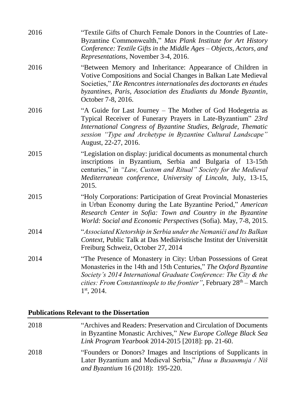| 2016 | "Textile Gifts of Church Female Donors in the Countries of Late-<br>Byzantine Commonwealth," Max Plank Institute for Art History<br>Conference: Textile Gifts in the Middle Ages – Objects, Actors, and<br>Representations, November 3-4, 2016.                                                           |
|------|-----------------------------------------------------------------------------------------------------------------------------------------------------------------------------------------------------------------------------------------------------------------------------------------------------------|
| 2016 | "Between Memory and Inheritance: Appearance of Children in<br>Votive Compositions and Social Changes in Balkan Late Medieval<br>Societies," IXe Rencontres internationales des doctorants en études<br>byzantines, Paris, Association des Etudiants du Monde Byzantin,<br>October 7-8, 2016.              |
| 2016 | "A Guide for Last Journey – The Mother of God Hodegetria as<br>Typical Receiver of Funerary Prayers in Late-Byzantium" 23rd<br>International Congress of Byzantine Studies, Belgrade, Thematic<br>session "Type and Archetype in Byzantine Cultural Landscape"<br>August, 22-27, 2016.                    |
| 2015 | "Legislation on display: juridical documents as monumental church<br>inscriptions in Byzantium, Serbia and Bulgaria of 13-15th<br>centuries," in "Law, Custom and Ritual" Society for the Medieval<br>Mediterranean conference, University of Lincoln, July, 13-15,<br>2015.                              |
| 2015 | "Holy Corporations: Participation of Great Provincial Monasteries<br>in Urban Economy during the Late Byzantine Period," American<br>Research Center in Sofia: Town and Country in the Byzantine<br>World: Social and Economic Perspectives (Sofia). May, 7-8, 2015.                                      |
| 2014 | "Associated Ktetorship in Serbia under the Nemanići and Its Balkan<br>Context, Public Talk at Das Mediävistische Institut der Universität<br>Freiburg Schweiz, October 27, 2014                                                                                                                           |
| 2014 | "The Presence of Monastery in City: Urban Possessions of Great<br>Monasteries in the 14th and 15th Centuries," The Oxford Byzantine<br>Society's 2014 International Graduate Conference: The City & the<br><i>cities: From Constantinople to the frontier</i> ", February $28th - March$<br>$1st$ , 2014. |

## **Publications Relevant to the Dissertation**

| 2018 | "Archives and Readers: Preservation and Circulation of Documents<br>in Byzantine Monastic Archives," New Europe College Black Sea<br>Link Program Yearbook 2014-2015 [2018]: pp. 21-60. |
|------|-----------------------------------------------------------------------------------------------------------------------------------------------------------------------------------------|
| 2018 | "Founders or Donors? Images and Inscriptions of Supplicants in<br>Later Byzantium and Medieval Serbia," Ниш и Византија / Niš<br>and Byzantium 16 (2018): 195-220.                      |